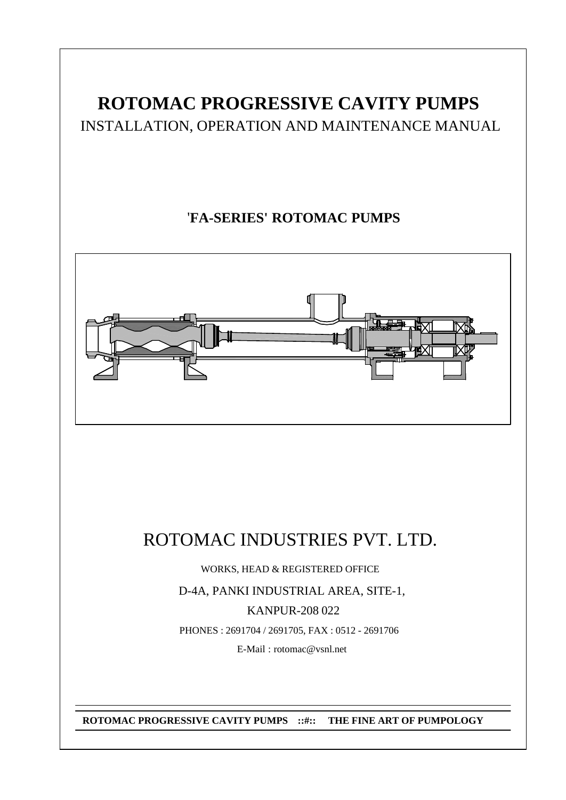# **ROTOMAC PROGRESSIVE CAVITY PUMPS**

INSTALLATION, OPERATION AND MAINTENANCE MANUAL

## '**FA-SERIES' ROTOMAC PUMPS**



# ROTOMAC INDUSTRIES PVT. LTD.

WORKS, HEAD & REGISTERED OFFICE

D-4A, PANKI INDUSTRIAL AREA, SITE-1,

KANPUR-208 022

PHONES : 2691704 / 2691705, FAX : 0512 - 2691706

E-Mail : rotomac@vsnl.net

**ROTOMAC PROGRESSIVE CAVITY PUMPS ::#:: THE FINE ART OF PUMPOLOGY**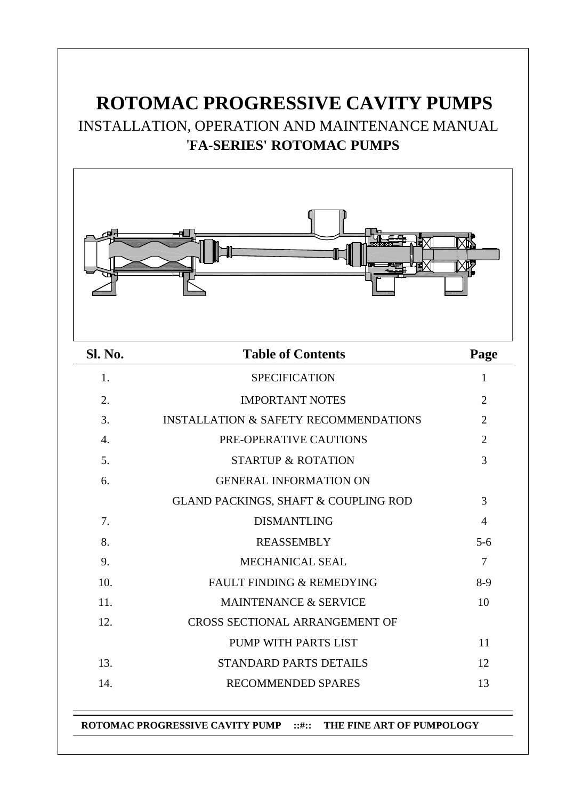# **ROTOMAC PROGRESSIVE CAVITY PUMPS** INSTALLATION, OPERATION AND MAINTENANCE MANUAL '**FA-SERIES' ROTOMAC PUMPS**



| Sl. No. | <b>Table of Contents</b>                         | Page           |
|---------|--------------------------------------------------|----------------|
| 1.      | <b>SPECIFICATION</b>                             | 1              |
| 2.      | <b>IMPORTANT NOTES</b>                           | $\overline{2}$ |
| 3.      | <b>INSTALLATION &amp; SAFETY RECOMMENDATIONS</b> | $\overline{2}$ |
| 4.      | PRE-OPERATIVE CAUTIONS                           | $\overline{2}$ |
| 5.      | <b>STARTUP &amp; ROTATION</b>                    | 3              |
| 6.      | <b>GENERAL INFORMATION ON</b>                    |                |
|         | <b>GLAND PACKINGS, SHAFT &amp; COUPLING ROD</b>  | 3              |
| 7.      | <b>DISMANTLING</b>                               | $\overline{4}$ |
| 8.      | <b>REASSEMBLY</b>                                | $5 - 6$        |
| 9.      | <b>MECHANICAL SEAL</b>                           | $\overline{7}$ |
| 10.     | <b>FAULT FINDING &amp; REMEDYING</b>             | $8-9$          |
| 11.     | <b>MAINTENANCE &amp; SERVICE</b>                 | 10             |
| 12.     | <b>CROSS SECTIONAL ARRANGEMENT OF</b>            |                |
|         | PUMP WITH PARTS LIST                             | 11             |
| 13.     | <b>STANDARD PARTS DETAILS</b>                    | 12             |
| 14.     | <b>RECOMMENDED SPARES</b>                        | 13             |

**ROTOMAC PROGRESSIVE CAVITY PUMP ::#:: THE FINE ART OF PUMPOLOGY**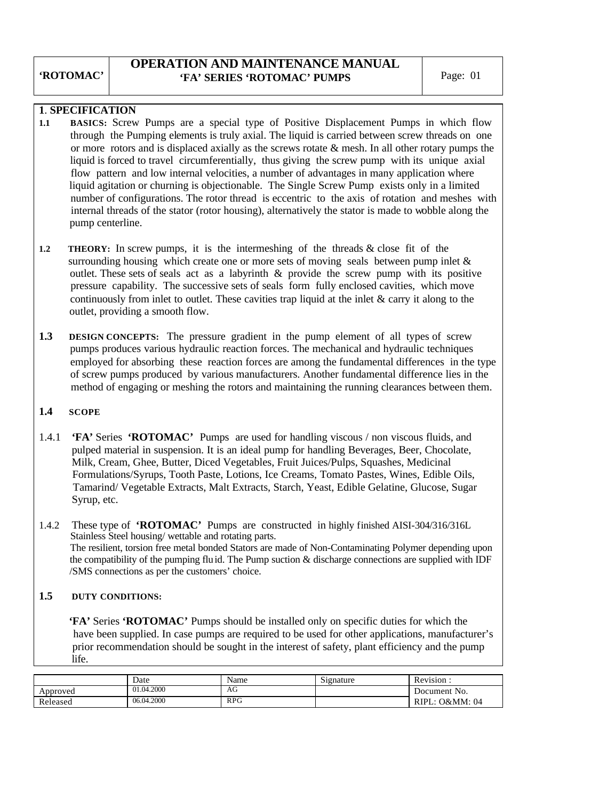#### **OPERATION AND MAINTENANCE MANUAL 'FA' SERIES 'ROTOMAC' PUMPS** Page: 01

#### **1**. **SPECIFICATION**

- **1.1 BASICS:** Screw Pumps are a special type of Positive Displacement Pumps in which flow through the Pumping elements is truly axial. The liquid is carried between screw threads on one or more rotors and is displaced axially as the screws rotate  $\&$  mesh. In all other rotary pumps the liquid is forced to travel circumferentially, thus giving the screw pump with its unique axial flow pattern and low internal velocities, a number of advantages in many application where liquid agitation or churning is objectionable. The Single Screw Pump exists only in a limited number of configurations. The rotor thread is eccentric to the axis of rotation and meshes with internal threads of the stator (rotor housing), alternatively the stator is made to wobble along the pump centerline.
- **1.2** THEORY: In screw pumps, it is the intermeshing of the threads & close fit of the surrounding housing which create one or more sets of moving seals between pump inlet  $\&$  outlet. These sets of seals act as a labyrinth & provide the screw pump with its positive pressure capability. The successive sets of seals form fully enclosed cavities, which move continuously from inlet to outlet. These cavities trap liquid at the inlet  $\&$  carry it along to the outlet, providing a smooth flow.
- **1.3 DESIGN CONCEPTS:** The pressure gradient in the pump element of all types of screw pumps produces various hydraulic reaction forces. The mechanical and hydraulic techniques employed for absorbing these reaction forces are among the fundamental differences in the type of screw pumps produced by various manufacturers. Another fundamental difference lies in the method of engaging or meshing the rotors and maintaining the running clearances between them.

#### **1.4 SCOPE**

- 1.4.1 **'FA'** Series **'ROTOMAC'** Pumps are used for handling viscous / non viscous fluids, and pulped material in suspension. It is an ideal pump for handling Beverages, Beer, Chocolate, Milk, Cream, Ghee, Butter, Diced Vegetables, Fruit Juices/Pulps, Squashes, Medicinal Formulations/Syrups, Tooth Paste, Lotions, Ice Creams, Tomato Pastes, Wines, Edible Oils, Tamarind/ Vegetable Extracts, Malt Extracts, Starch, Yeast, Edible Gelatine, Glucose, Sugar Syrup, etc.
- 1.4.2 These type of **'ROTOMAC'** Pumps are constructed in highly finished AISI-304/316/316L Stainless Steel housing/ wettable and rotating parts. The resilient, torsion free metal bonded Stators are made of Non-Contaminating Polymer depending upon the compatibility of the pumping fluid. The Pump suction & discharge connections are supplied with IDF /SMS connections as per the customers' choice.

#### **1.5 DUTY CONDITIONS:**

 **'FA'** Series **'ROTOMAC'** Pumps should be installed only on specific duties for which the have been supplied. In case pumps are required to be used for other applications, manufacturer's prior recommendation should be sought in the interest of safety, plant efficiency and the pump life.

|          | Date       | Name | $\sim$<br>Signature | Revision:                     |
|----------|------------|------|---------------------|-------------------------------|
| Approved | 01.04.2000 | AG   |                     | Document No.                  |
| Released | 06.04.2000 | RPG  |                     | RIPL:<br><b>O&amp;MM</b> : 04 |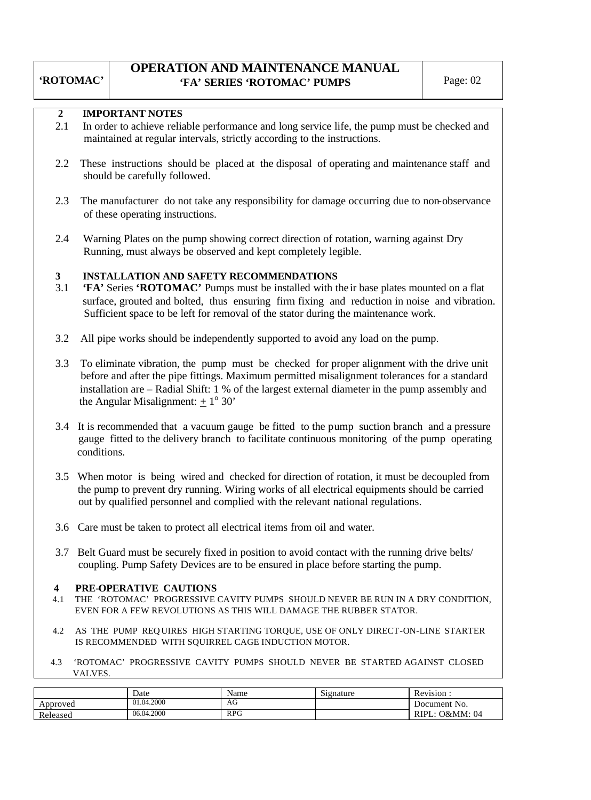### **OPERATION AND MAINTENANCE MANUAL 'FA' SERIES 'ROTOMAC' PUMPS** Page: 02

**'ROTOMAC'**

#### **2 IMPORTANT NOTES**

- 2.1 In order to achieve reliable performance and long service life, the pump must be checked and maintained at regular intervals, strictly according to the instructions.
- 2.2 These instructions should be placed at the disposal of operating and maintenance staff and should be carefully followed.
- 2.3 The manufacturer do not take any responsibility for damage occurring due to non-observance of these operating instructions.
- 2.4 Warning Plates on the pump showing correct direction of rotation, warning against Dry Running, must always be observed and kept completely legible.

#### **3 INSTALLATION AND SAFETY RECOMMENDATIONS**

- 3.1 **'FA'** Series **'ROTOMAC'** Pumps must be installed with the ir base plates mounted on a flat surface, grouted and bolted, thus ensuring firm fixing and reduction in noise and vibration. Sufficient space to be left for removal of the stator during the maintenance work.
- 3.2 All pipe works should be independently supported to avoid any load on the pump.
- 3.3 To eliminate vibration, the pump must be checked for proper alignment with the drive unit before and after the pipe fittings. Maximum permitted misalignment tolerances for a standard installation are – Radial Shift: 1 % of the largest external diameter in the pump assembly and the Angular Misalignment:  $\pm 1^{\circ}$  30'
- 3.4 It is recommended that a vacuum gauge be fitted to the pump suction branch and a pressure gauge fitted to the delivery branch to facilitate continuous monitoring of the pump operating conditions.
- 3.5 When motor is being wired and checked for direction of rotation, it must be decoupled from the pump to prevent dry running. Wiring works of all electrical equipments should be carried out by qualified personnel and complied with the relevant national regulations.
- 3.6 Care must be taken to protect all electrical items from oil and water.
- 3.7 Belt Guard must be securely fixed in position to avoid contact with the running drive belts/ coupling. Pump Safety Devices are to be ensured in place before starting the pump.

#### **4 PRE-OPERATIVE CAUTIONS**

- 4.1THE 'ROTOMAC' PROGRESSIVE CAVITY PUMPS SHOULD NEVER BE RUN IN A DRY CONDITION, EVEN FOR A FEW REVOLUTIONS AS THIS WILL DAMAGE THE RUBBER STATOR.
- 4.2 AS THE PUMP REQ UIRES HIGH STARTING TORQUE, USE OF ONLY DIRECT-ON-LINE STARTER IS RECOMMENDED WITH SQUIRREL CAGE INDUCTION MOTOR.
- 4.3 'ROTOMAC' PROGRESSIVE CAVITY PUMPS SHOULD NEVER BE STARTED AGAINST CLOSED VALVES.

|          | Date       | Name       | $\sim$<br>Signature | $\sqrt{ }$<br>Revision: |
|----------|------------|------------|---------------------|-------------------------|
| Approved | 01.04.2000 | AG         |                     | Document No.            |
| Released | 06.04.2000 | <b>RPG</b> |                     | O&MM: 04<br>RIPL:       |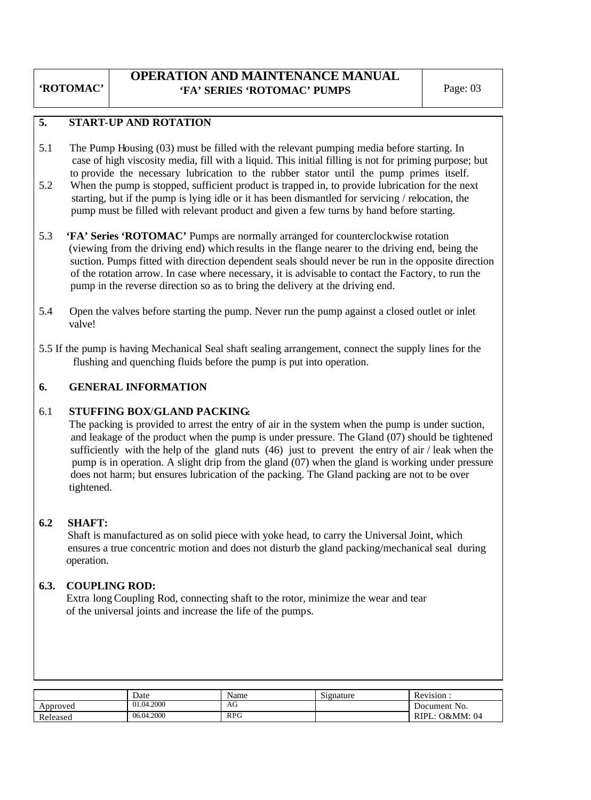#### **OPERATION AND MAINTENANCE MANUAL 'FA' SERIES 'ROTOMAC' PUMPS** Page: 03

#### **5. START**-**UP AND ROTATION**

- 5.1 The Pump Housing (03) must be filled with the relevant pumping media before starting. In case of high viscosity media, fill with a liquid. This initial filling is not for priming purpose; but to provide the necessary lubrication to the rubber stator until the pump primes itself.
- 5.2 When the pump is stopped, sufficient product is trapped in, to provide lubrication for the next starting, but if the pump is lying idle or it has been dismantled for servicing / relocation, the pump must be filled with relevant product and given a few turns by hand before starting.
- 5.3 **'FA' Series 'ROTOMAC'** Pumps are normally arranged for counterclockwise rotation (viewing from the driving end) which results in the flange nearer to the driving end, being the suction. Pumps fitted with direction dependent seals should never be run in the opposite direction of the rotation arrow. In case where necessary, it is advisable to contact the Factory, to run the pump in the reverse direction so as to bring the delivery at the driving end.
- 5.4 Open the valves before starting the pump. Never run the pump against a closed outlet or inlet valve!
- 5.5 If the pump is having Mechanical Seal shaft sealing arrangement, connect the supply lines for the flushing and quenching fluids before the pump is put into operation.

#### **6. GENERAL INFORMATION**

#### 6.1 **STUFFING BOX**/**GLAND PACKING:**

 The packing is provided to arrest the entry of air in the system when the pump is under suction, and leakage of the product when the pump is under pressure. The Gland (07) should be tightened sufficiently with the help of the gland nuts  $(46)$  just to prevent the entry of air / leak when the pump is in operation. A slight drip from the gland (07) when the gland is working under pressure does not harm; but ensures lubrication of the packing. The Gland packing are not to be over tightened.

#### **6.2 SHAFT:**

 Shaft is manufactured as on solid piece with yoke head, to carry the Universal Joint, which ensures a true concentric motion and does not disturb the gland packing/mechanical seal during operation.

#### **6.3. COUPLING ROD:**

Extra long Coupling Rod, connecting shaft to the rotor, minimize the wear and tear of the universal joints and increase the life of the pumps.

|                          | Date       | Name       | r.<br>Signature | <sup>n</sup><br>Revision |
|--------------------------|------------|------------|-----------------|--------------------------|
| Approved                 | 01.04.2000 | AG         |                 | No.<br>Document          |
| $\mathbf{r}$<br>Released | 06.04.2000 | <b>RPG</b> |                 | O&MM: 04<br>RIP          |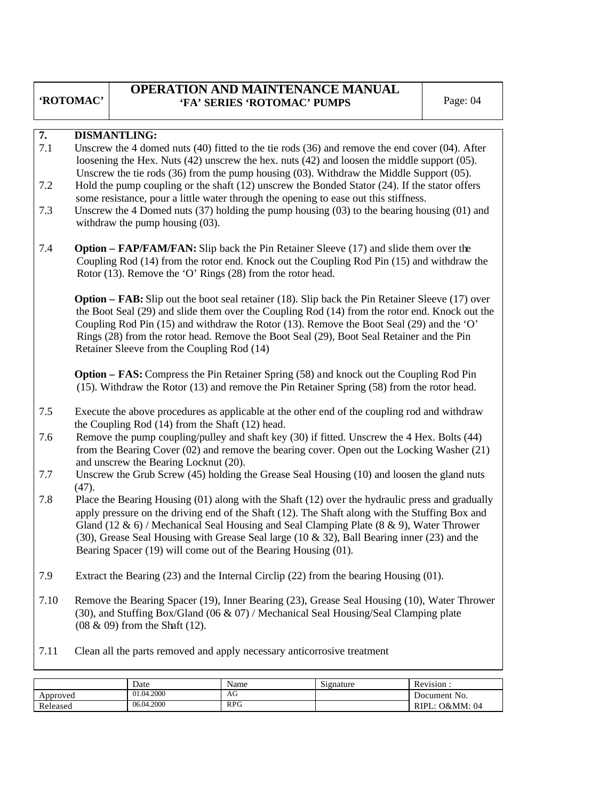#### **OPERATION AND MAINTENANCE MANUAL 'FA' SERIES 'ROTOMAC' PUMPS** Page: 04

#### **7. DISMANTLING:**

- 7.1 Unscrew the 4 domed nuts (40) fitted to the tie rods (36) and remove the end cover (04). After loosening the Hex. Nuts (42) unscrew the hex. nuts (42) and loosen the middle support (05). Unscrew the tie rods (36) from the pump housing (03). Withdraw the Middle Support (05).
- 7.2 Hold the pump coupling or the shaft (12) unscrew the Bonded Stator (24). If the stator offers some resistance, pour a little water through the opening to ease out this stiffness.
- 7.3 Unscrew the 4 Domed nuts (37) holding the pump housing (03) to the bearing housing (01) and withdraw the pump housing  $(03)$ .
- 7.4 **Option FAP/FAM/FAN:** Slip back the Pin Retainer Sleeve (17) and slide them over the Coupling Rod (14) from the rotor end. Knock out the Coupling Rod Pin (15) and withdraw the Rotor (13). Remove the 'O' Rings (28) from the rotor head.

**Option – FAB:** Slip out the boot seal retainer (18). Slip back the Pin Retainer Sleeve (17) over the Boot Seal (29) and slide them over the Coupling Rod (14) from the rotor end. Knock out the Coupling Rod Pin (15) and withdraw the Rotor (13). Remove the Boot Seal (29) and the 'O' Rings (28) from the rotor head. Remove the Boot Seal (29), Boot Seal Retainer and the Pin Retainer Sleeve from the Coupling Rod (14)

 **Option – FAS:** Compress the Pin Retainer Spring (58) and knock out the Coupling Rod Pin (15). Withdraw the Rotor (13) and remove the Pin Retainer Spring (58) from the rotor head.

- 7.5 Execute the above procedures as applicable at the other end of the coupling rod and withdraw the Coupling Rod (14) from the Shaft (12) head.
- 7.6 Remove the pump coupling/pulley and shaft key (30) if fitted. Unscrew the 4 Hex. Bolts (44) from the Bearing Cover (02) and remove the bearing cover. Open out the Locking Washer (21) and unscrew the Bearing Locknut (20).
- 7.7 Unscrew the Grub Screw (45) holding the Grease Seal Housing (10) and loosen the gland nuts (47).
- 7.8 Place the Bearing Housing (01) along with the Shaft (12) over the hydraulic press and gradually apply pressure on the driving end of the Shaft (12). The Shaft along with the Stuffing Box and Gland (12  $\&$  6) / Mechanical Seal Housing and Seal Clamping Plate (8  $\&$  9), Water Thrower (30), Grease Seal Housing with Grease Seal large (10 & 32), Ball Bearing inner (23) and the Bearing Spacer (19) will come out of the Bearing Housing (01).
- 7.9 Extract the Bearing (23) and the Internal Circlip (22) from the bearing Housing (01).
- 7.10 Remove the Bearing Spacer (19), Inner Bearing (23), Grease Seal Housing (10), Water Thrower (30), and Stuffing Box/Gland (06 & 07) / Mechanical Seal Housing/Seal Clamping plate (08 & 09) from the Shaft (12).
- 7.11 Clean all the parts removed and apply necessary anticorrosive treatment

|          | Date       | Name         | Signature | Revision          |
|----------|------------|--------------|-----------|-------------------|
| Approved | 01.04.2000 | AU<br>$\sim$ |           | Document No.      |
| Released | 06.04.2000 | <b>RPG</b>   |           | O&MM: 04<br>RIPL. |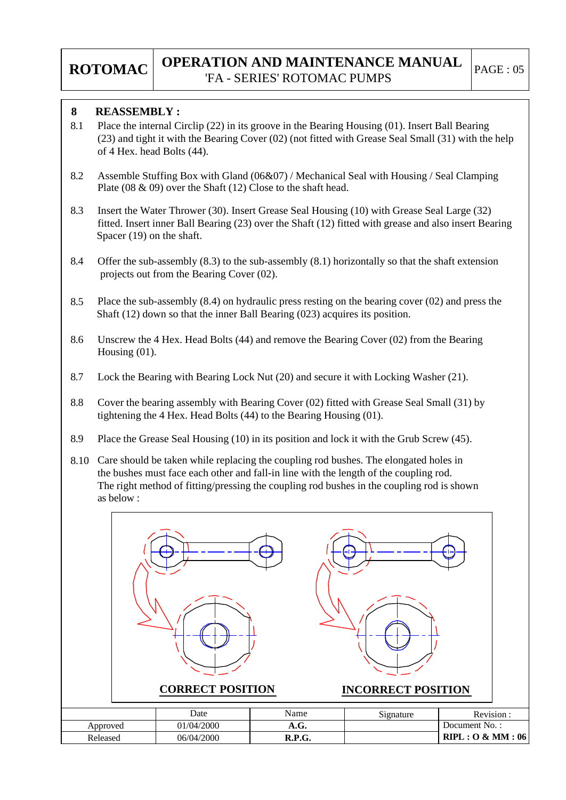#### **REASSEMBLY : 8**

- Place the internal Circlip (22) in its groove in the Bearing Housing (01). Insert Ball Bearing (23) and tight it with the Bearing Cover (02) (not fitted with Grease Seal Small (31) with the help of 4 Hex. head Bolts (44). 8.1
- Assemble Stuffing Box with Gland (06&07) / Mechanical Seal with Housing / Seal Clamping Plate (08 & 09) over the Shaft (12) Close to the shaft head. 8.2
- Insert the Water Thrower (30). Insert Grease Seal Housing (10) with Grease Seal Large (32) fitted. Insert inner Ball Bearing (23) over the Shaft (12) fitted with grease and also insert Bearing Spacer (19) on the shaft. 8.3
- Offer the sub-assembly (8.3) to the sub-assembly (8.1) horizontally so that the shaft extension projects out from the Bearing Cover (02). 8.4
- Place the sub-assembly (8.4) on hydraulic press resting on the bearing cover (02) and press the Shaft (12) down so that the inner Ball Bearing (023) acquires its position. 8.5
- Unscrew the 4 Hex. Head Bolts (44) and remove the Bearing Cover (02) from the Bearing Housing (01). 8.6
- Lock the Bearing with Bearing Lock Nut (20) and secure it with Locking Washer (21). 8.7
- Cover the bearing assembly with Bearing Cover (02) fitted with Grease Seal Small (31) by tightening the 4 Hex. Head Bolts (44) to the Bearing Housing (01). 8.8
- Place the Grease Seal Housing (10) in its position and lock it with the Grub Screw (45). 8.9
- Care should be taken while replacing the coupling rod bushes. The elongated holes in 8.10 the bushes must face each other and fall-in line with the length of the coupling rod. The right method of fitting/pressing the coupling rod bushes in the coupling rod is shown as below :

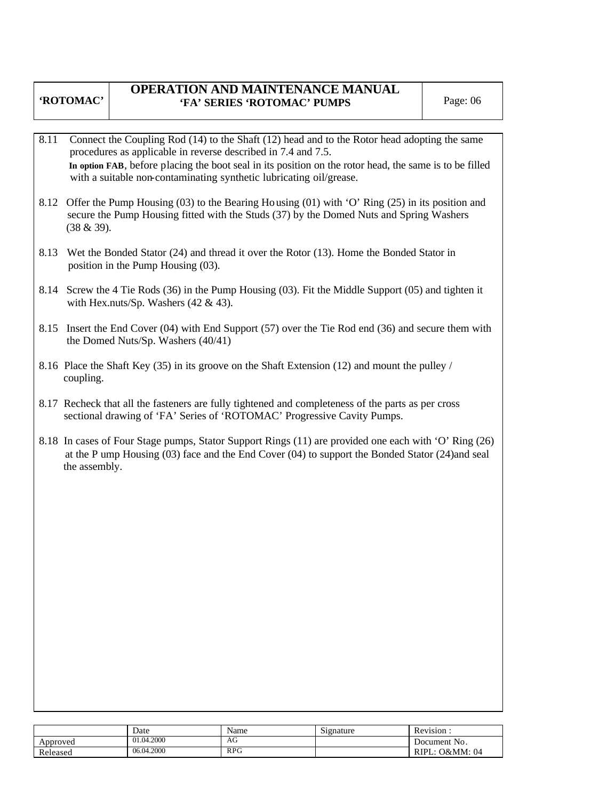#### **OPERATION AND MAINTENANCE MANUAL 'FA' SERIES 'ROTOMAC' PUMPS** Page: 06

- 8.11 Connect the Coupling Rod (14) to the Shaft (12) head and to the Rotor head adopting the same procedures as applicable in reverse described in 7.4 and 7.5. **In option FAB**, before placing the boot seal in its position on the rotor head, the same is to be filled with a suitable non-contaminating synthetic lubricating oil/grease.
- 8.12 Offer the Pump Housing (03) to the Bearing Housing (01) with 'O' Ring (25) in its position and secure the Pump Housing fitted with the Studs (37) by the Domed Nuts and Spring Washers (38 & 39).
- 8.13 Wet the Bonded Stator (24) and thread it over the Rotor (13). Home the Bonded Stator in position in the Pump Housing (03).
- 8.14 Screw the 4 Tie Rods (36) in the Pump Housing (03). Fit the Middle Support (05) and tighten it with Hex.nuts/Sp. Washers  $(42 \& 43)$ .
- 8.15 Insert the End Cover (04) with End Support (57) over the Tie Rod end (36) and secure them with the Domed Nuts/Sp. Washers (40/41)
- 8.16 Place the Shaft Key (35) in its groove on the Shaft Extension (12) and mount the pulley / coupling.
- 8.17 Recheck that all the fasteners are fully tightened and completeness of the parts as per cross sectional drawing of 'FA' Series of 'ROTOMAC' Progressive Cavity Pumps.
- 8.18 In cases of Four Stage pumps, Stator Support Rings (11) are provided one each with 'O' Ring (26) at the P ump Housing (03) face and the End Cover (04) to support the Bonded Stator (24)and seal the assembly.

|          | Date       | Name       | $\sim \cdot$<br>Signature | $\mathbf{r}$<br><b>Revision</b> |
|----------|------------|------------|---------------------------|---------------------------------|
| Approved | 01.04.2000 | AG         |                           | Document No.                    |
| Released | 06.04.2000 | <b>RPG</b> |                           | O&MM: 04<br>RIPL.               |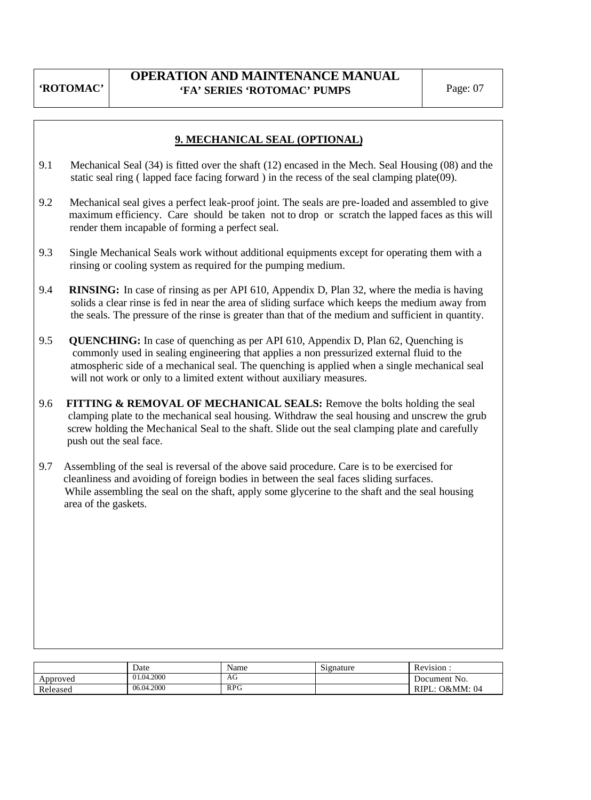### **OPERATION AND MAINTENANCE MANUAL 'FA' SERIES 'ROTOMAC' PUMPS** Page: 07

#### **9. MECHANICAL SEAL (OPTIONAL)**

- 9.1 Mechanical Seal (34) is fitted over the shaft (12) encased in the Mech. Seal Housing (08) and the static seal ring ( lapped face facing forward ) in the recess of the seal clamping plate(09).
- 9.2 Mechanical seal gives a perfect leak-proof joint. The seals are pre-loaded and assembled to give maximum efficiency. Care should be taken not to drop or scratch the lapped faces as this will render them incapable of forming a perfect seal.
- 9.3 Single Mechanical Seals work without additional equipments except for operating them with a rinsing or cooling system as required for the pumping medium.
- 9.4 **RINSING:** In case of rinsing as per API 610, Appendix D, Plan 32, where the media is having solids a clear rinse is fed in near the area of sliding surface which keeps the medium away from the seals. The pressure of the rinse is greater than that of the medium and sufficient in quantity.
- 9.5 **QUENCHING:** In case of quenching as per API 610, Appendix D, Plan 62, Quenching is commonly used in sealing engineering that applies a non pressurized external fluid to the atmospheric side of a mechanical seal. The quenching is applied when a single mechanical seal will not work or only to a limited extent without auxiliary measures.
- 9.6 **FITTING & REMOVAL OF MECHANICAL SEALS:** Remove the bolts holding the seal clamping plate to the mechanical seal housing. Withdraw the seal housing and unscrew the grub screw holding the Mechanical Seal to the shaft. Slide out the seal clamping plate and carefully push out the seal face.
- 9.7 Assembling of the seal is reversal of the above said procedure. Care is to be exercised for cleanliness and avoiding of foreign bodies in between the seal faces sliding surfaces. While assembling the seal on the shaft, apply some glycerine to the shaft and the seal housing area of the gaskets.

|          | Date       | Name       | $\sim$<br>Signature | Revision :                    |
|----------|------------|------------|---------------------|-------------------------------|
| Approved | 01.04.2000 | ΑU         |                     | Document No.                  |
| Released | 06.04.2000 | <b>RPG</b> |                     | <b>O&amp;MM</b> : 04<br>RIPL: |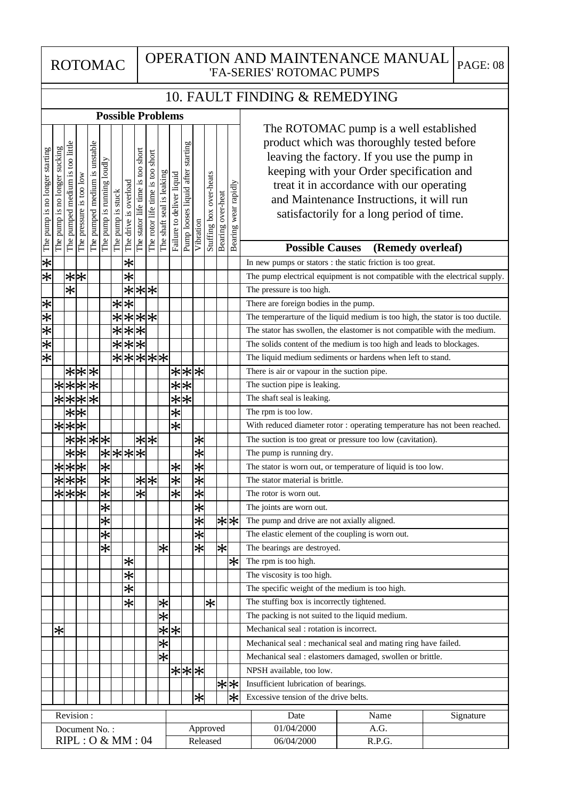#### ROTOMAC | OPERATION AND MAINTENANCE MANUAL <sub>| PAGE: 08</sub> 'FA-SERIES' ROTOMAC PUMPS

## 10. FAULT FINDING & REMEDYING

 $\overline{1}$ 

|                                |                               |                                       | <b>Possible Problems</b> |                               |                            |                   |                                        |                                   |                                     |                           |                           |                                      |                   |                         |                   |                       |                                                                                                                                                                                                                                                                                                                         |
|--------------------------------|-------------------------------|---------------------------------------|--------------------------|-------------------------------|----------------------------|-------------------|----------------------------------------|-----------------------------------|-------------------------------------|---------------------------|---------------------------|--------------------------------------|-------------------|-------------------------|-------------------|-----------------------|-------------------------------------------------------------------------------------------------------------------------------------------------------------------------------------------------------------------------------------------------------------------------------------------------------------------------|
| The pump is no longer starting | The pump is no longer sucking | too little<br>medium is<br>The pumped | The pressure is too low  | The pumped medium is unstable | The pump is running loudly | The pump is stuck | The drive is overload                  | The stator life time is too short | short<br>The rotor life time is too | The shaft seal is leaking | Failure to deliver liquid | starting<br>Pump looses liquid after | Vibration         | Stuffing box over-heats | Bearing over-heat | Bearing wear rapidly  | The ROTOMAC pump is a well established<br>product which was thoroughly tested before<br>leaving the factory. If you use the pump in<br>keeping with your Order specification and<br>treat it in accordance with our operating<br>and Maintenance Instructions, it will run<br>satisfactorily for a long period of time. |
|                                |                               |                                       |                          |                               |                            |                   |                                        |                                   |                                     |                           |                           |                                      |                   |                         |                   |                       | <b>Possible Causes</b><br>(Remedy overleaf)                                                                                                                                                                                                                                                                             |
| $\overline{\ast}$              |                               |                                       |                          |                               |                            |                   | $\overline{\ast}$<br>$\overline{\ast}$ |                                   |                                     |                           |                           |                                      |                   |                         |                   |                       | In new pumps or stators : the static friction is too great.                                                                                                                                                                                                                                                             |
| $*$                            |                               | $\overline{\ast}$                     | $*$                      |                               |                            |                   | $\overline{\ast}$                      |                                   | * *                                 |                           |                           |                                      |                   |                         |                   |                       | The pump electrical equipment is not compatible with the electrical supply.<br>The pressure is too high.                                                                                                                                                                                                                |
| ⋇                              |                               |                                       |                          |                               |                            | ∗                 | $\overline{\ast}$                      |                                   |                                     |                           |                           |                                      |                   |                         |                   |                       | There are foreign bodies in the pump.                                                                                                                                                                                                                                                                                   |
| $\left. \ast \right\vert$      |                               |                                       |                          |                               |                            |                   |                                        |                                   | ****                                |                           |                           |                                      |                   |                         |                   |                       | The temperarture of the liquid medium is too high, the stator is too ductile.                                                                                                                                                                                                                                           |
| $\frac{1}{\lambda}$            |                               |                                       |                          |                               |                            | ⊀                 |                                        | $\overline{**}$                   |                                     |                           |                           |                                      |                   |                         |                   |                       | The stator has swollen, the elastomer is not compatible with the medium.                                                                                                                                                                                                                                                |
| $\bigstar$                     |                               |                                       |                          |                               |                            |                   | अअअ                                    |                                   |                                     |                           |                           |                                      |                   |                         |                   |                       | The solids content of the medium is too high and leads to blockages.                                                                                                                                                                                                                                                    |
| $\bigstar$                     |                               |                                       |                          |                               |                            |                   |                                        |                                   | *****                               |                           |                           |                                      |                   |                         |                   |                       | The liquid medium sediments or hardens when left to stand.                                                                                                                                                                                                                                                              |
|                                |                               |                                       |                          | ***                           |                            |                   |                                        |                                   |                                     |                           |                           | * * *                                |                   |                         |                   |                       | There is air or vapour in the suction pipe.                                                                                                                                                                                                                                                                             |
|                                |                               | ****                                  |                          |                               |                            |                   |                                        |                                   |                                     |                           | $\overline{\ast}$         | $ \ast $                             |                   |                         |                   |                       | The suction pipe is leaking.                                                                                                                                                                                                                                                                                            |
|                                |                               | $\frac{1}{x}$                         |                          | $\overline{\ast}$             |                            |                   |                                        |                                   |                                     |                           | $\overline{\ast}$         | *                                    |                   |                         |                   |                       | The shaft seal is leaking.                                                                                                                                                                                                                                                                                              |
|                                |                               | $\overline{**}$                       |                          |                               |                            |                   |                                        |                                   |                                     |                           | $\overline{\ast}$         |                                      |                   |                         |                   |                       | The rpm is too low.                                                                                                                                                                                                                                                                                                     |
|                                |                               | ***                                   |                          |                               |                            |                   |                                        |                                   |                                     |                           | $\overline{\ast}$         |                                      |                   |                         |                   |                       | With reduced diameter rotor : operating temperature has not been reached.                                                                                                                                                                                                                                               |
|                                |                               |                                       |                          | ****                          |                            |                   |                                        |                                   | $* * $                              |                           |                           |                                      | $\ast$            |                         |                   |                       | The suction is too great or pressure too low (cavitation).                                                                                                                                                                                                                                                              |
|                                |                               |                                       | $**$                     |                               |                            |                   |                                        |                                   |                                     |                           |                           |                                      | $\overline{\ast}$ |                         |                   |                       | The pump is running dry.                                                                                                                                                                                                                                                                                                |
|                                |                               | ***                                   |                          |                               |                            |                   | ****<br>*                              |                                   |                                     |                           | $\ast$                    |                                      | $\overline{\ast}$ |                         |                   |                       | The stator is worn out, or temperature of liquid is too low.                                                                                                                                                                                                                                                            |
|                                |                               | ***                                   |                          |                               | $\overline{\ast}$          |                   |                                        |                                   | $* * $                              |                           | $\overline{\ast}$         |                                      | $\overline{\ast}$ |                         |                   |                       | The stator material is brittle.                                                                                                                                                                                                                                                                                         |
|                                |                               | ***                                   |                          |                               | $\overline{\ast}$          |                   |                                        | Ӿ                                 |                                     |                           | $\overline{\ast}$         |                                      | $\overline{\ast}$ |                         |                   |                       | The rotor is worn out.                                                                                                                                                                                                                                                                                                  |
|                                |                               |                                       |                          |                               | $\overline{\ast}$          |                   |                                        |                                   |                                     |                           |                           |                                      | $\overline{\ast}$ |                         |                   |                       | The joints are worn out.                                                                                                                                                                                                                                                                                                |
|                                |                               |                                       |                          |                               | $\overline{\ast}$          |                   |                                        |                                   |                                     |                           |                           |                                      | $\bigstar$        |                         |                   | * *                   | The pump and drive are not axially aligned.                                                                                                                                                                                                                                                                             |
|                                |                               |                                       |                          |                               | $\overline{\ast}$          |                   |                                        |                                   |                                     |                           |                           |                                      | $\overline{\ast}$ |                         |                   |                       | The elastic element of the coupling is worn out.                                                                                                                                                                                                                                                                        |
|                                |                               |                                       |                          |                               | $\bigstar$                 |                   |                                        |                                   |                                     | $\bigstar$                |                           |                                      | अं                |                         | $\overline{\ast}$ |                       | The bearings are destroyed.                                                                                                                                                                                                                                                                                             |
|                                |                               |                                       |                          |                               |                            |                   | $\ast$                                 |                                   |                                     |                           |                           |                                      |                   |                         |                   | $\left  \ast \right $ | The rpm is too high.                                                                                                                                                                                                                                                                                                    |
|                                |                               |                                       |                          |                               |                            |                   | $\overline{\ast}$                      |                                   |                                     |                           |                           |                                      |                   |                         |                   |                       | The viscosity is too high.                                                                                                                                                                                                                                                                                              |
|                                |                               |                                       |                          |                               |                            |                   | $\overline{\ast}$                      |                                   |                                     |                           |                           |                                      |                   |                         |                   |                       | The specific weight of the medium is too high.                                                                                                                                                                                                                                                                          |
|                                |                               |                                       |                          |                               |                            |                   | $\ast$                                 |                                   |                                     | $\ast$                    |                           |                                      |                   | $\ast$                  |                   |                       | The stuffing box is incorrectly tightened.                                                                                                                                                                                                                                                                              |
|                                |                               |                                       |                          |                               |                            |                   |                                        |                                   |                                     | ⋇                         |                           |                                      |                   |                         |                   |                       | The packing is not suited to the liquid medium.                                                                                                                                                                                                                                                                         |
|                                | $\ast$                        |                                       |                          |                               |                            |                   |                                        |                                   |                                     |                           | $\frac{1}{\ast}$          |                                      |                   |                         |                   |                       | Mechanical seal : rotation is incorrect.                                                                                                                                                                                                                                                                                |
|                                |                               |                                       |                          |                               |                            |                   |                                        |                                   |                                     | $\overline{\ast}$         |                           |                                      |                   |                         |                   |                       | Mechanical seal : mechanical seal and mating ring have failed.                                                                                                                                                                                                                                                          |
|                                |                               |                                       |                          |                               |                            |                   |                                        |                                   |                                     | ⋇                         |                           |                                      |                   |                         |                   |                       | Mechanical seal : elastomers damaged, swollen or brittle.                                                                                                                                                                                                                                                               |
|                                |                               |                                       |                          |                               |                            |                   |                                        |                                   |                                     |                           |                           | ***                                  |                   |                         |                   |                       | NPSH available, too low.                                                                                                                                                                                                                                                                                                |
|                                |                               |                                       |                          |                               |                            |                   |                                        |                                   |                                     |                           |                           |                                      |                   |                         |                   | * *                   | Insufficient lubrication of bearings.                                                                                                                                                                                                                                                                                   |
|                                |                               |                                       |                          |                               |                            |                   |                                        |                                   |                                     |                           |                           |                                      | ∗∣                |                         |                   | $\ast$                | Excessive tension of the drive belts.                                                                                                                                                                                                                                                                                   |
|                                |                               | Revision:                             |                          |                               |                            |                   |                                        |                                   |                                     |                           |                           |                                      |                   |                         |                   |                       | Name<br>Date<br>Signature                                                                                                                                                                                                                                                                                               |
|                                |                               | Document No.:                         |                          |                               |                            |                   |                                        |                                   |                                     |                           |                           |                                      |                   | Approved                |                   |                       | 01/04/2000<br>A.G.                                                                                                                                                                                                                                                                                                      |
|                                |                               | RIPL: O & MM: 04                      |                          |                               |                            |                   |                                        |                                   |                                     |                           |                           |                                      |                   | Released                |                   |                       | 06/04/2000<br>R.P.G.                                                                                                                                                                                                                                                                                                    |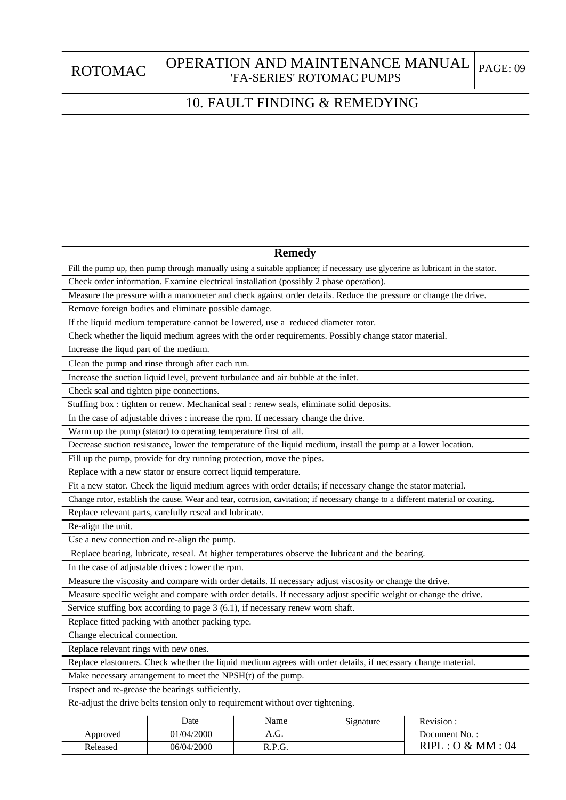|  | <b>ROTOMAG</b> |  |  |
|--|----------------|--|--|
|  |                |  |  |

#### ROTOMAC | OPERATION AND MAINTENANCE MANUAL <sub>| PAGE: 09</sub> 'FA-SERIES' ROTOMAC PUMPS

### 10. FAULT FINDING & REMEDYING

#### **Remedy**

Check order information. Examine electrical installation (possibly 2 phase operation). Fill the pump up, then pump through manually using a suitable appliance; if necessary use glycerine as lubricant in the stator.

Measure the pressure with a manometer and check against order details. Reduce the pressure or change the drive. Remove foreign bodies and eliminate possible damage.

If the liquid medium temperature cannot be lowered, use a reduced diameter rotor.

Check whether the liquid medium agrees with the order requirements. Possibly change stator material.

Increase the liqud part of the medium.

Clean the pump and rinse through after each run.

Increase the suction liquid level, prevent turbulance and air bubble at the inlet.

Check seal and tighten pipe connections.

Stuffing box : tighten or renew. Mechanical seal : renew seals, eliminate solid deposits.

In the case of adjustable drives : increase the rpm. If necessary change the drive.

Warm up the pump (stator) to operating temperature first of all.

Decrease suction resistance, lower the temperature of the liquid medium, install the pump at a lower location.

Fill up the pump, provide for dry running protection, move the pipes.

Replace with a new stator or ensure correct liquid temperature.

Fit a new stator. Check the liquid medium agrees with order details; if necessary change the stator material.

Change rotor, establish the cause. Wear and tear, corrosion, cavitation; if necessary change to a different material or coating.

Replace relevant parts, carefully reseal and lubricate.

Re-align the unit.

Use a new connection and re-align the pump.

Replace bearing, lubricate, reseal. At higher temperatures observe the lubricant and the bearing.

In the case of adjustable drives : lower the rpm.

Measure the viscosity and compare with order details. If necessary adjust viscosity or change the drive.

Measure specific weight and compare with order details. If necessary adjust specific weight or change the drive.

Service stuffing box according to page 3 (6.1), if necessary renew worn shaft.

Replace fitted packing with another packing type.

Change electrical connection.

Replace relevant rings with new ones.

Replace elastomers. Check whether the liquid medium agrees with order details, if necessary change material.

Make necessary arrangement to meet the NPSH(r) of the pump.

Inspect and re-grease the bearings sufficiently.

Re-adjust the drive belts tension only to requirement without over tightening.

|          | Date       | Name   | Signature | Revision:        |
|----------|------------|--------|-----------|------------------|
| Approved | 01/04/2000 | A.G.   |           | Document No.:    |
| Released | 06/04/2000 | R.P.G. |           | RIPL: O & MM: 04 |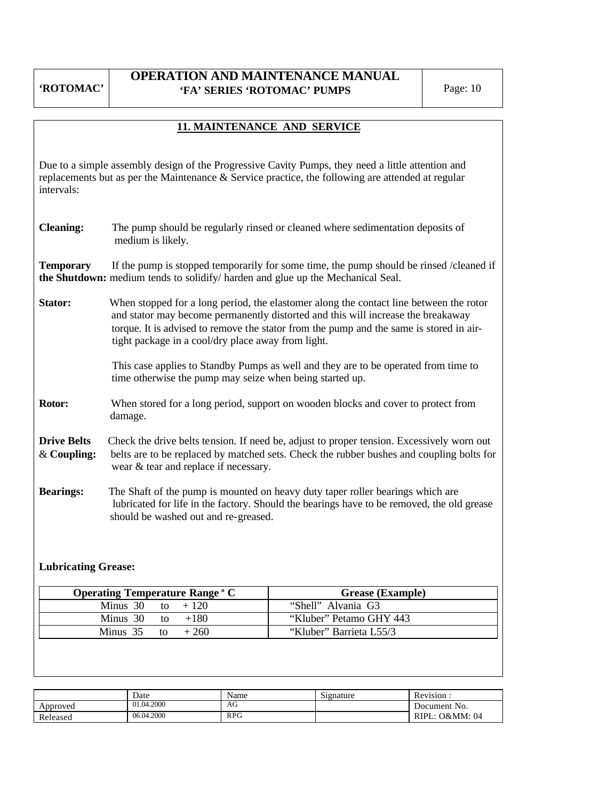#### **OPERATION AND MAINTENANCE MANUAL 'FA' SERIES 'ROTOMAC' PUMPS** Page: 10

# **11. MAINTENANCE AND SERVICE** Due to a simple assembly design of the Progressive Cavity Pumps, they need a little attention and replacements but as per the Maintenance & Service practice, the following are attended at regular intervals: **Cleaning:** The pump should be regularly rinsed or cleaned where sedimentation deposits of medium is likely. **Temporary** If the pump is stopped temporarily for some time, the pump should be rinsed /cleaned if **the Shutdown:** medium tends to solidify/ harden and glue up the Mechanical Seal. **Stator:** When stopped for a long period, the elastomer along the contact line between the rotor and stator may become permanently distorted and this will increase the breakaway torque. It is advised to remove the stator from the pump and the same is stored in air tight package in a cool/dry place away from light. This case applies to Standby Pumps as well and they are to be operated from time to time otherwise the pump may seize when being started up. **Rotor:** When stored for a long period, support on wooden blocks and cover to protect from damage. **Drive Belts** Check the drive belts tension. If need be, adjust to proper tension. Excessively worn out & **Coupling:** belts are to be replaced by matched sets. Check the rubber bushes and coupling bolts for wear & tear and replace if necessary. **Bearings:** The Shaft of the pump is mounted on heavy duty taper roller bearings which are lubricated for life in the factory. Should the bearings have to be removed, the old grease should be washed out and re-greased.

#### **Lubricating Grease:**

| <b>Operating Temperature Range ° C</b> | <b>Grease (Example)</b> |
|----------------------------------------|-------------------------|
| Minus 30 to $+120$                     | "Shell" Alvania G3      |
| Minus 30 to $+180$                     | "Kluber" Petamo GHY 443 |
| Minus $35$ to<br>$+260$                | "Kluber" Barrieta L55/3 |

|          | Date       | Name       | $\tilde{\phantom{a}}$<br>Signature | Revision          |
|----------|------------|------------|------------------------------------|-------------------|
| Approved | 01.04.2000 | AG         |                                    | Document No.      |
| Released | 06.04.2000 | <b>RPG</b> |                                    | RIPL.<br>O&MM: 04 |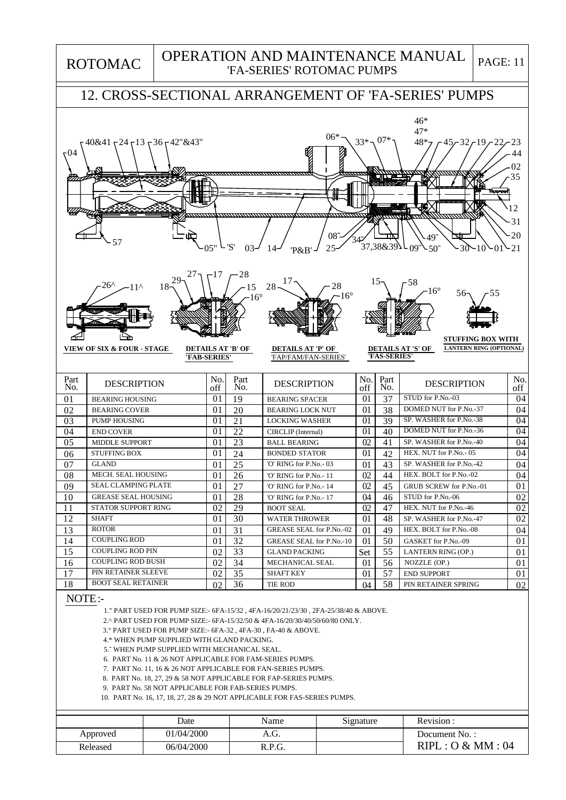ROTOMAC

#### OPERATION AND MAINTENANCE MANUAL 'FA-SERIES' ROTOMAC PUMPS

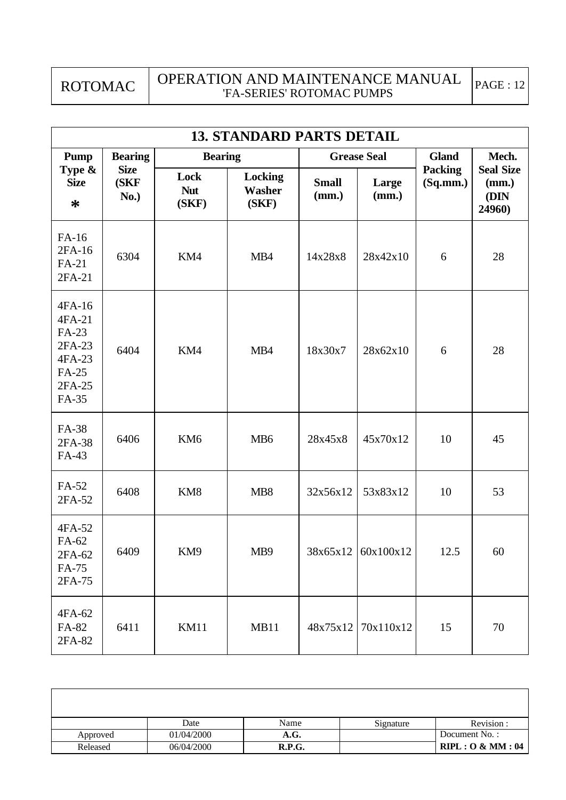ROTOMAC

| <b>13. STANDARD PARTS DETAIL</b>                                                 |                             |                             |                                   |                       |                      |                            |                                             |
|----------------------------------------------------------------------------------|-----------------------------|-----------------------------|-----------------------------------|-----------------------|----------------------|----------------------------|---------------------------------------------|
| <b>Bearing</b><br><b>Pump</b>                                                    |                             |                             | <b>Bearing</b>                    |                       | <b>Grease Seal</b>   |                            | Mech.                                       |
| Type &<br><b>Size</b><br>$\ast$                                                  | <b>Size</b><br>(SKF<br>No.) | Lock<br><b>Nut</b><br>(SKF) | Locking<br><b>Washer</b><br>(SKF) | <b>Small</b><br>(mm.) | Large<br>(mm.)       | <b>Packing</b><br>(Sq.mm.) | <b>Seal Size</b><br>(mm.)<br>(DIN<br>24960) |
| FA-16<br>2FA-16<br>FA-21<br>2FA-21                                               | 6304                        | KM4                         | MB4                               | 14x28x8               | 28x42x10             | 6                          | 28                                          |
| 4FA-16<br>4FA-21<br>FA-23<br>2FA-23<br>4FA-23<br><b>FA-25</b><br>2FA-25<br>FA-35 | 6404                        | KM4                         | MB4                               | 18x30x7               | 28x62x10             | 6                          | 28                                          |
| FA-38<br>2FA-38<br>FA-43                                                         | 6406                        | KM <sub>6</sub>             | MB <sub>6</sub>                   | 28x45x8               | 45x70x12             | 10                         | 45                                          |
| FA-52<br>2FA-52                                                                  | 6408                        | KM8                         | MB <sub>8</sub>                   | 32x56x12              | 53x83x12             | 10                         | 53                                          |
| 4FA-52<br>FA-62<br>2FA-62<br>FA-75<br>2FA-75                                     | 6409                        | KM9                         | MB9                               |                       | $38x65x12$ 60x100x12 | 12.5                       | 60                                          |
| 4FA-62<br>FA-82<br>2FA-82                                                        | 6411                        | <b>KM11</b>                 | MB11                              | 48x75x12              | 70x110x12            | 15                         | 70                                          |

|          | Date       | Name   | Signature | Revision :       |
|----------|------------|--------|-----------|------------------|
| Approved | 01/04/2000 | A.G.   |           | Document No.:    |
| Released | 06/04/2000 | R.P.G. |           | RIPL: O & MM: 04 |